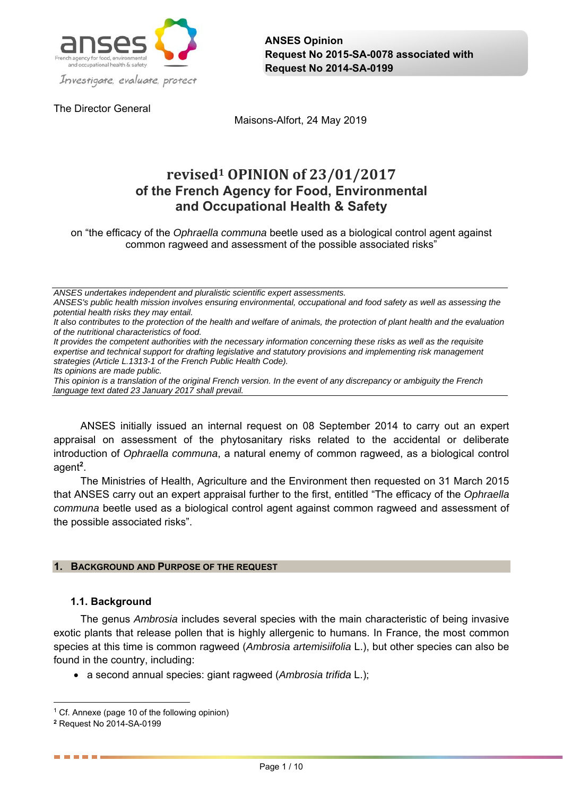

The Director General

Maisons-Alfort, 24 May 2019

# **revised1 OPINION of 23/01/2017 of the French Agency for Food, Environmental and Occupational Health & Safety**

on "the efficacy of the *Ophraella communa* beetle used as a biological control agent against common ragweed and assessment of the possible associated risks"

*ANSES undertakes independent and pluralistic scientific expert assessments.* 

*ANSES's public health mission involves ensuring environmental, occupational and food safety as well as assessing the potential health risks they may entail.* 

*It also contributes to the protection of the health and welfare of animals, the protection of plant health and the evaluation of the nutritional characteristics of food.* 

*It provides the competent authorities with the necessary information concerning these risks as well as the requisite expertise and technical support for drafting legislative and statutory provisions and implementing risk management strategies (Article L.1313-1 of the French Public Health Code).* 

*Its opinions are made public.* 

*This opinion is a translation of the original French version. In the event of any discrepancy or ambiguity the French language text dated 23 January 2017 shall prevail.*

ANSES initially issued an internal request on 08 September 2014 to carry out an expert appraisal on assessment of the phytosanitary risks related to the accidental or deliberate introduction of *Ophraella communa*, a natural enemy of common ragweed, as a biological control agent**<sup>2</sup>** .

The Ministries of Health, Agriculture and the Environment then requested on 31 March 2015 that ANSES carry out an expert appraisal further to the first, entitled "The efficacy of the *Ophraella communa* beetle used as a biological control agent against common ragweed and assessment of the possible associated risks".

## **1. BACKGROUND AND PURPOSE OF THE REQUEST**

## **1.1. Background**

The genus *Ambrosia* includes several species with the main characteristic of being invasive exotic plants that release pollen that is highly allergenic to humans. In France, the most common species at this time is common ragweed (*Ambrosia artemisiifolia* L.), but other species can also be found in the country, including:

a second annual species: giant ragweed (*Ambrosia trifida* L.);

------

 $\overline{a}$ 1 Cf. Annexe (page 10 of the following opinion)

**<sup>2</sup>** Request No 2014-SA-0199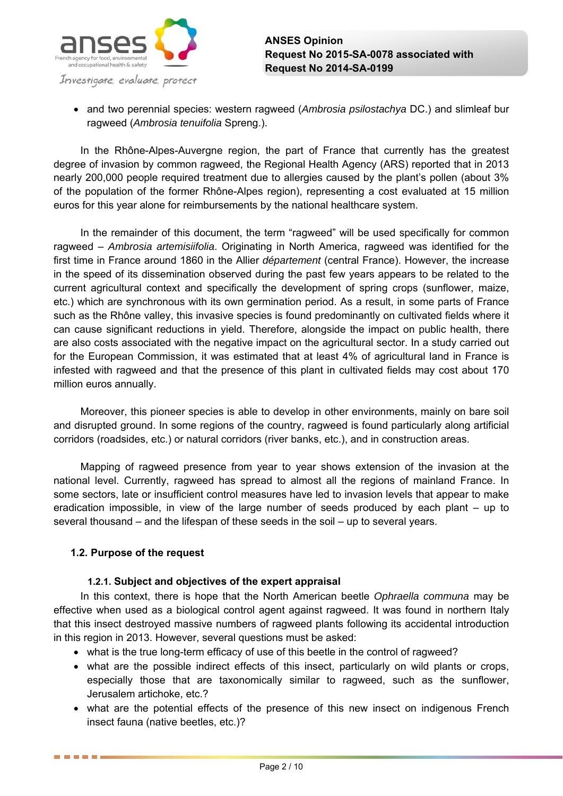

 and two perennial species: western ragweed (*Ambrosia psilostachya* DC.) and slimleaf bur ragweed (*Ambrosia tenuifolia* Spreng.).

In the Rhône-Alpes-Auvergne region, the part of France that currently has the greatest degree of invasion by common ragweed, the Regional Health Agency (ARS) reported that in 2013 nearly 200,000 people required treatment due to allergies caused by the plant's pollen (about 3% of the population of the former Rhône-Alpes region), representing a cost evaluated at 15 million euros for this year alone for reimbursements by the national healthcare system.

In the remainder of this document, the term "ragweed" will be used specifically for common ragweed – *Ambrosia artemisiifolia*. Originating in North America, ragweed was identified for the first time in France around 1860 in the Allier *département* (central France). However, the increase in the speed of its dissemination observed during the past few years appears to be related to the current agricultural context and specifically the development of spring crops (sunflower, maize, etc.) which are synchronous with its own germination period. As a result, in some parts of France such as the Rhône valley, this invasive species is found predominantly on cultivated fields where it can cause significant reductions in yield. Therefore, alongside the impact on public health, there are also costs associated with the negative impact on the agricultural sector. In a study carried out for the European Commission, it was estimated that at least 4% of agricultural land in France is infested with ragweed and that the presence of this plant in cultivated fields may cost about 170 million euros annually.

Moreover, this pioneer species is able to develop in other environments, mainly on bare soil and disrupted ground. In some regions of the country, ragweed is found particularly along artificial corridors (roadsides, etc.) or natural corridors (river banks, etc.), and in construction areas.

Mapping of ragweed presence from year to year shows extension of the invasion at the national level. Currently, ragweed has spread to almost all the regions of mainland France. In some sectors, late or insufficient control measures have led to invasion levels that appear to make eradication impossible, in view of the large number of seeds produced by each plant – up to several thousand – and the lifespan of these seeds in the soil – up to several years.

## **1.2. Purpose of the request**

. . . . .

## **1.2.1. Subject and objectives of the expert appraisal**

In this context, there is hope that the North American beetle *Ophraella communa* may be effective when used as a biological control agent against ragweed. It was found in northern Italy that this insect destroyed massive numbers of ragweed plants following its accidental introduction in this region in 2013. However, several questions must be asked:

- what is the true long-term efficacy of use of this beetle in the control of ragweed?
- what are the possible indirect effects of this insect, particularly on wild plants or crops, especially those that are taxonomically similar to ragweed, such as the sunflower, Jerusalem artichoke, etc.?
- what are the potential effects of the presence of this new insect on indigenous French insect fauna (native beetles, etc.)?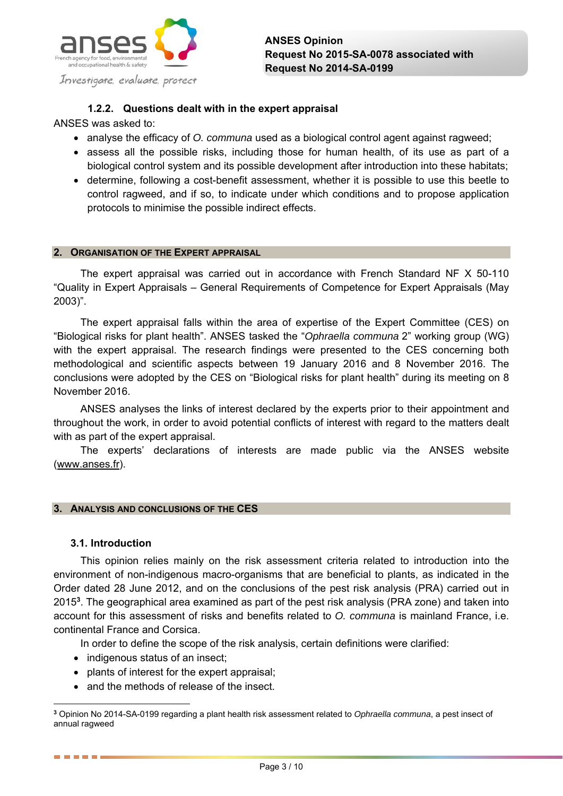

## **1.2.2. Questions dealt with in the expert appraisal**

ANSES was asked to:

- analyse the efficacy of *O. communa* used as a biological control agent against ragweed;
- assess all the possible risks, including those for human health, of its use as part of a biological control system and its possible development after introduction into these habitats;
- determine, following a cost-benefit assessment, whether it is possible to use this beetle to control ragweed, and if so, to indicate under which conditions and to propose application protocols to minimise the possible indirect effects.

#### **2. ORGANISATION OF THE EXPERT APPRAISAL**

The expert appraisal was carried out in accordance with French Standard NF X 50-110 "Quality in Expert Appraisals – General Requirements of Competence for Expert Appraisals (May 2003)".

The expert appraisal falls within the area of expertise of the Expert Committee (CES) on "Biological risks for plant health". ANSES tasked the "*Ophraella communa* 2" working group (WG) with the expert appraisal. The research findings were presented to the CES concerning both methodological and scientific aspects between 19 January 2016 and 8 November 2016. The conclusions were adopted by the CES on "Biological risks for plant health" during its meeting on 8 November 2016.

ANSES analyses the links of interest declared by the experts prior to their appointment and throughout the work, in order to avoid potential conflicts of interest with regard to the matters dealt with as part of the expert appraisal.

The experts' declarations of interests are made public via the ANSES website (www.anses.fr).

## **3. ANALYSIS AND CONCLUSIONS OF THE CES**

## **3.1. Introduction**

------

This opinion relies mainly on the risk assessment criteria related to introduction into the environment of non-indigenous macro-organisms that are beneficial to plants, as indicated in the Order dated 28 June 2012, and on the conclusions of the pest risk analysis (PRA) carried out in 2015**<sup>3</sup>** . The geographical area examined as part of the pest risk analysis (PRA zone) and taken into account for this assessment of risks and benefits related to *O. communa* is mainland France, i.e. continental France and Corsica.

In order to define the scope of the risk analysis, certain definitions were clarified:

- indigenous status of an insect;
- plants of interest for the expert appraisal;
- and the methods of release of the insect.

 $\overline{a}$ **<sup>3</sup>** Opinion No 2014-SA-0199 regarding a plant health risk assessment related to *Ophraella communa*, a pest insect of annual ragweed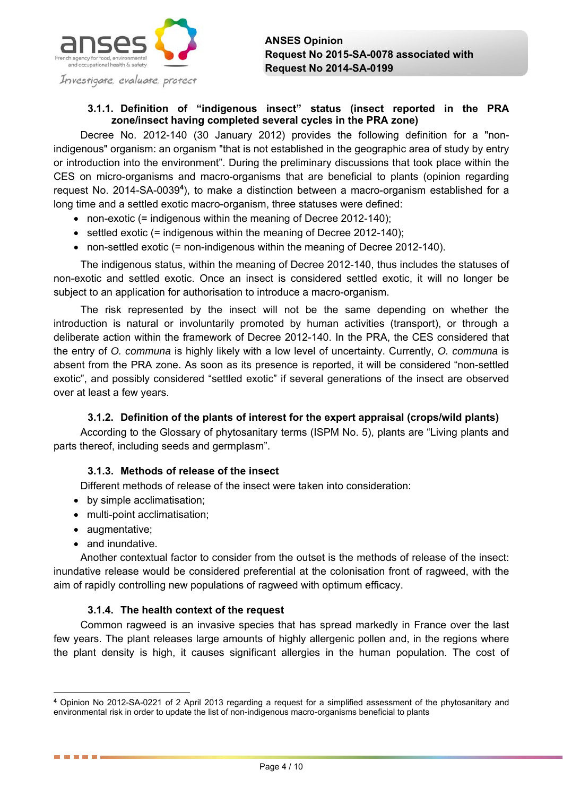

## **3.1.1. Definition of "indigenous insect" status (insect reported in the PRA zone/insect having completed several cycles in the PRA zone)**

Decree No. 2012-140 (30 January 2012) provides the following definition for a "nonindigenous" organism: an organism "that is not established in the geographic area of study by entry or introduction into the environment". During the preliminary discussions that took place within the CES on micro-organisms and macro-organisms that are beneficial to plants (opinion regarding request No. 2014-SA-0039**<sup>4</sup>** ), to make a distinction between a macro-organism established for a long time and a settled exotic macro-organism, three statuses were defined:

- non-exotic (= indigenous within the meaning of Decree 2012-140);
- $\bullet$  settled exotic (= indigenous within the meaning of Decree 2012-140);
- non-settled exotic (= non-indigenous within the meaning of Decree 2012-140).

The indigenous status, within the meaning of Decree 2012-140, thus includes the statuses of non-exotic and settled exotic. Once an insect is considered settled exotic, it will no longer be subject to an application for authorisation to introduce a macro-organism.

The risk represented by the insect will not be the same depending on whether the introduction is natural or involuntarily promoted by human activities (transport), or through a deliberate action within the framework of Decree 2012-140. In the PRA, the CES considered that the entry of *O. communa* is highly likely with a low level of uncertainty. Currently, *O. communa* is absent from the PRA zone. As soon as its presence is reported, it will be considered "non-settled exotic", and possibly considered "settled exotic" if several generations of the insect are observed over at least a few years.

#### **3.1.2. Definition of the plants of interest for the expert appraisal (crops/wild plants)**

According to the Glossary of phytosanitary terms (ISPM No. 5), plants are "Living plants and parts thereof, including seeds and germplasm".

## **3.1.3. Methods of release of the insect**

Different methods of release of the insect were taken into consideration:

- by simple acclimatisation;
- multi-point acclimatisation;
- augmentative;

 $\overline{a}$ 

------

• and inundative.

Another contextual factor to consider from the outset is the methods of release of the insect: inundative release would be considered preferential at the colonisation front of ragweed, with the aim of rapidly controlling new populations of ragweed with optimum efficacy.

#### **3.1.4. The health context of the request**

Common ragweed is an invasive species that has spread markedly in France over the last few years. The plant releases large amounts of highly allergenic pollen and, in the regions where the plant density is high, it causes significant allergies in the human population. The cost of

**<sup>4</sup>** Opinion No 2012-SA-0221 of 2 April 2013 regarding a request for a simplified assessment of the phytosanitary and environmental risk in order to update the list of non-indigenous macro-organisms beneficial to plants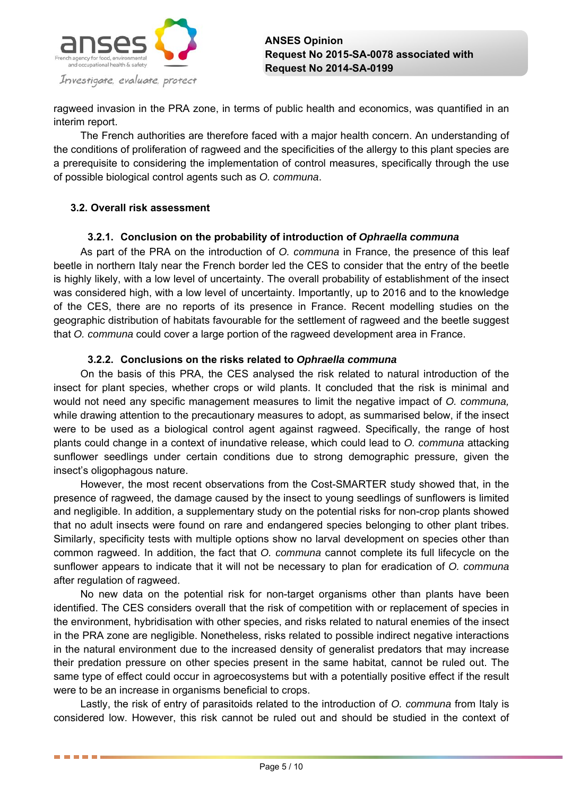

ragweed invasion in the PRA zone, in terms of public health and economics, was quantified in an interim report.

The French authorities are therefore faced with a major health concern. An understanding of the conditions of proliferation of ragweed and the specificities of the allergy to this plant species are a prerequisite to considering the implementation of control measures, specifically through the use of possible biological control agents such as *O. communa*.

## **3.2. Overall risk assessment**

. . . . .

## **3.2.1. Conclusion on the probability of introduction of** *Ophraella communa*

As part of the PRA on the introduction of *O. communa* in France, the presence of this leaf beetle in northern Italy near the French border led the CES to consider that the entry of the beetle is highly likely, with a low level of uncertainty. The overall probability of establishment of the insect was considered high, with a low level of uncertainty. Importantly, up to 2016 and to the knowledge of the CES, there are no reports of its presence in France. Recent modelling studies on the geographic distribution of habitats favourable for the settlement of ragweed and the beetle suggest that *O. communa* could cover a large portion of the ragweed development area in France.

## **3.2.2. Conclusions on the risks related to** *Ophraella communa*

On the basis of this PRA, the CES analysed the risk related to natural introduction of the insect for plant species, whether crops or wild plants. It concluded that the risk is minimal and would not need any specific management measures to limit the negative impact of *O. communa,* while drawing attention to the precautionary measures to adopt, as summarised below, if the insect were to be used as a biological control agent against ragweed. Specifically, the range of host plants could change in a context of inundative release, which could lead to *O. communa* attacking sunflower seedlings under certain conditions due to strong demographic pressure, given the insect's oligophagous nature.

However, the most recent observations from the Cost-SMARTER study showed that, in the presence of ragweed, the damage caused by the insect to young seedlings of sunflowers is limited and negligible. In addition, a supplementary study on the potential risks for non-crop plants showed that no adult insects were found on rare and endangered species belonging to other plant tribes. Similarly, specificity tests with multiple options show no larval development on species other than common ragweed. In addition, the fact that *O. communa* cannot complete its full lifecycle on the sunflower appears to indicate that it will not be necessary to plan for eradication of *O. communa*  after regulation of ragweed.

No new data on the potential risk for non-target organisms other than plants have been identified. The CES considers overall that the risk of competition with or replacement of species in the environment, hybridisation with other species, and risks related to natural enemies of the insect in the PRA zone are negligible. Nonetheless, risks related to possible indirect negative interactions in the natural environment due to the increased density of generalist predators that may increase their predation pressure on other species present in the same habitat, cannot be ruled out. The same type of effect could occur in agroecosystems but with a potentially positive effect if the result were to be an increase in organisms beneficial to crops.

Lastly, the risk of entry of parasitoids related to the introduction of *O. communa* from Italy is considered low. However, this risk cannot be ruled out and should be studied in the context of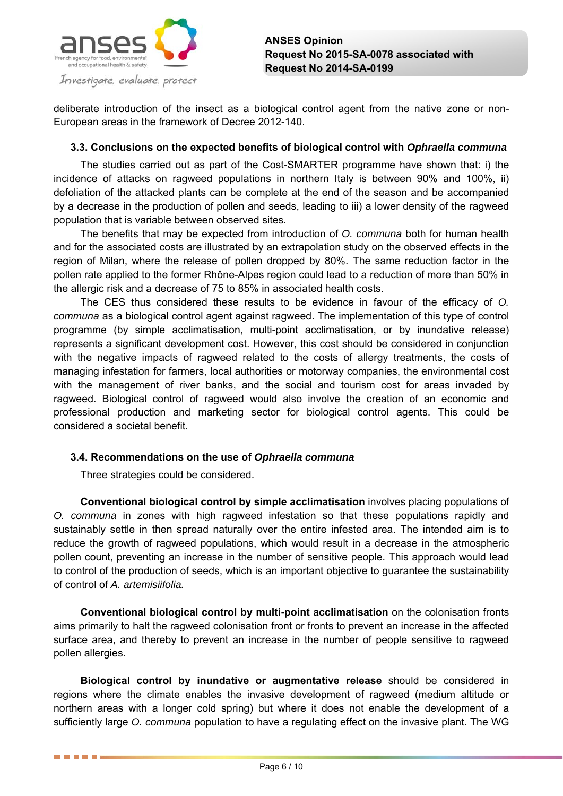

deliberate introduction of the insect as a biological control agent from the native zone or non-European areas in the framework of Decree 2012-140.

## **3.3. Conclusions on the expected benefits of biological control with** *Ophraella communa*

The studies carried out as part of the Cost-SMARTER programme have shown that: i) the incidence of attacks on ragweed populations in northern Italy is between 90% and 100%, ii) defoliation of the attacked plants can be complete at the end of the season and be accompanied by a decrease in the production of pollen and seeds, leading to iii) a lower density of the ragweed population that is variable between observed sites.

The benefits that may be expected from introduction of *O. communa* both for human health and for the associated costs are illustrated by an extrapolation study on the observed effects in the region of Milan, where the release of pollen dropped by 80%. The same reduction factor in the pollen rate applied to the former Rhône-Alpes region could lead to a reduction of more than 50% in the allergic risk and a decrease of 75 to 85% in associated health costs.

The CES thus considered these results to be evidence in favour of the efficacy of *O. communa* as a biological control agent against ragweed. The implementation of this type of control programme (by simple acclimatisation, multi-point acclimatisation, or by inundative release) represents a significant development cost. However, this cost should be considered in conjunction with the negative impacts of ragweed related to the costs of allergy treatments, the costs of managing infestation for farmers, local authorities or motorway companies, the environmental cost with the management of river banks, and the social and tourism cost for areas invaded by ragweed. Biological control of ragweed would also involve the creation of an economic and professional production and marketing sector for biological control agents. This could be considered a societal benefit.

## **3.4. Recommendations on the use of** *Ophraella communa*

Three strategies could be considered.

. . . . .

**Conventional biological control by simple acclimatisation** involves placing populations of *O. communa* in zones with high ragweed infestation so that these populations rapidly and sustainably settle in then spread naturally over the entire infested area. The intended aim is to reduce the growth of ragweed populations, which would result in a decrease in the atmospheric pollen count, preventing an increase in the number of sensitive people. This approach would lead to control of the production of seeds, which is an important objective to guarantee the sustainability of control of *A. artemisiifolia.*

**Conventional biological control by multi-point acclimatisation** on the colonisation fronts aims primarily to halt the ragweed colonisation front or fronts to prevent an increase in the affected surface area, and thereby to prevent an increase in the number of people sensitive to ragweed pollen allergies.

**Biological control by inundative or augmentative release** should be considered in regions where the climate enables the invasive development of ragweed (medium altitude or northern areas with a longer cold spring) but where it does not enable the development of a sufficiently large *O. communa* population to have a regulating effect on the invasive plant. The WG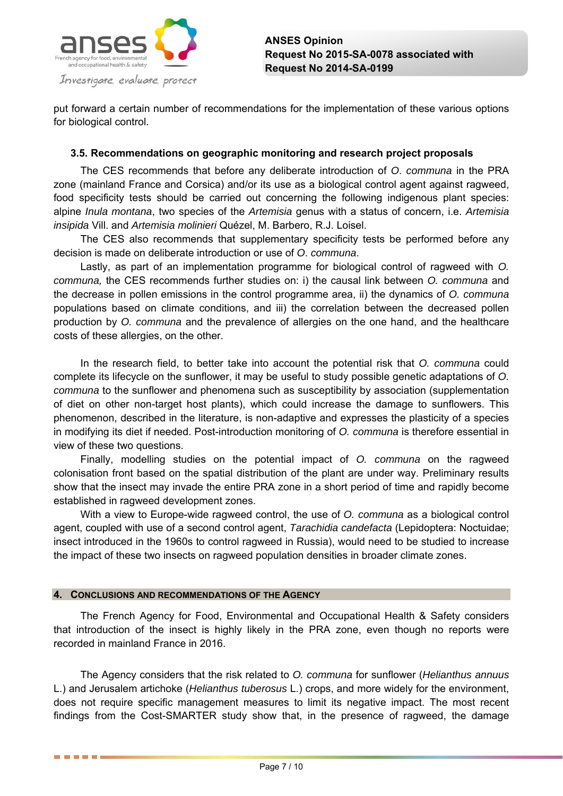

put forward a certain number of recommendations for the implementation of these various options for biological control.

## **3.5. Recommendations on geographic monitoring and research project proposals**

The CES recommends that before any deliberate introduction of *O*. *communa* in the PRA zone (mainland France and Corsica) and/or its use as a biological control agent against ragweed, food specificity tests should be carried out concerning the following indigenous plant species: alpine *Inula montana*, two species of the *Artemisia* genus with a status of concern, i.e. *Artemisia insipida* Vill. and *Artemisia molinieri* Quézel, M. Barbero, R.J. Loisel.

The CES also recommends that supplementary specificity tests be performed before any decision is made on deliberate introduction or use of *O*. *communa*.

Lastly, as part of an implementation programme for biological control of ragweed with *O. communa,* the CES recommends further studies on: i) the causal link between *O. communa* and the decrease in pollen emissions in the control programme area, ii) the dynamics of *O. communa* populations based on climate conditions, and iii) the correlation between the decreased pollen production by *O. communa* and the prevalence of allergies on the one hand, and the healthcare costs of these allergies, on the other.

In the research field, to better take into account the potential risk that *O. communa* could complete its lifecycle on the sunflower, it may be useful to study possible genetic adaptations of *O. communa* to the sunflower and phenomena such as susceptibility by association (supplementation of diet on other non-target host plants), which could increase the damage to sunflowers. This phenomenon, described in the literature, is non-adaptive and expresses the plasticity of a species in modifying its diet if needed. Post-introduction monitoring of *O. communa* is therefore essential in view of these two questions.

Finally, modelling studies on the potential impact of *O. communa* on the ragweed colonisation front based on the spatial distribution of the plant are under way. Preliminary results show that the insect may invade the entire PRA zone in a short period of time and rapidly become established in ragweed development zones.

With a view to Europe-wide ragweed control, the use of *O. communa* as a biological control agent, coupled with use of a second control agent, *Tarachidia candefacta* (Lepidoptera: Noctuidae; insect introduced in the 1960s to control ragweed in Russia), would need to be studied to increase the impact of these two insects on ragweed population densities in broader climate zones.

#### **4. CONCLUSIONS AND RECOMMENDATIONS OF THE AGENCY**

------

The French Agency for Food, Environmental and Occupational Health & Safety considers that introduction of the insect is highly likely in the PRA zone, even though no reports were recorded in mainland France in 2016.

The Agency considers that the risk related to *O. communa* for sunflower (*Helianthus annuus* L.) and Jerusalem artichoke (*Helianthus tuberosus* L.) crops, and more widely for the environment, does not require specific management measures to limit its negative impact. The most recent findings from the Cost-SMARTER study show that, in the presence of ragweed, the damage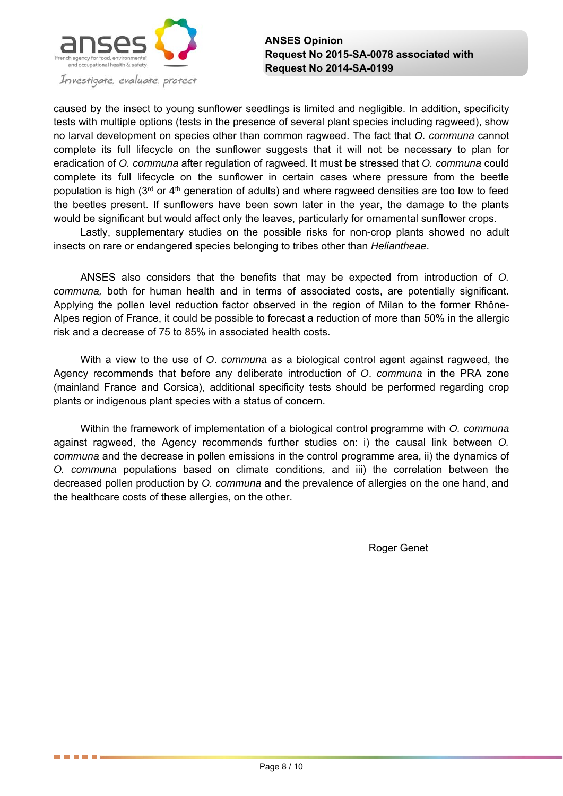

. . . . . .

caused by the insect to young sunflower seedlings is limited and negligible. In addition, specificity tests with multiple options (tests in the presence of several plant species including ragweed), show no larval development on species other than common ragweed. The fact that *O. communa* cannot complete its full lifecycle on the sunflower suggests that it will not be necessary to plan for eradication of *O. communa* after regulation of ragweed. It must be stressed that *O. communa* could complete its full lifecycle on the sunflower in certain cases where pressure from the beetle population is high ( $3<sup>rd</sup>$  or  $4<sup>th</sup>$  generation of adults) and where ragweed densities are too low to feed the beetles present. If sunflowers have been sown later in the year, the damage to the plants would be significant but would affect only the leaves, particularly for ornamental sunflower crops.

Lastly, supplementary studies on the possible risks for non-crop plants showed no adult insects on rare or endangered species belonging to tribes other than *Heliantheae*.

ANSES also considers that the benefits that may be expected from introduction of *O. communa,* both for human health and in terms of associated costs, are potentially significant. Applying the pollen level reduction factor observed in the region of Milan to the former Rhône-Alpes region of France, it could be possible to forecast a reduction of more than 50% in the allergic risk and a decrease of 75 to 85% in associated health costs.

With a view to the use of *O*. *communa* as a biological control agent against ragweed, the Agency recommends that before any deliberate introduction of *O*. *communa* in the PRA zone (mainland France and Corsica), additional specificity tests should be performed regarding crop plants or indigenous plant species with a status of concern.

Within the framework of implementation of a biological control programme with *O. communa* against ragweed, the Agency recommends further studies on: i) the causal link between *O. communa* and the decrease in pollen emissions in the control programme area, ii) the dynamics of *O. communa* populations based on climate conditions, and iii) the correlation between the decreased pollen production by *O. communa* and the prevalence of allergies on the one hand, and the healthcare costs of these allergies, on the other.

Roger Genet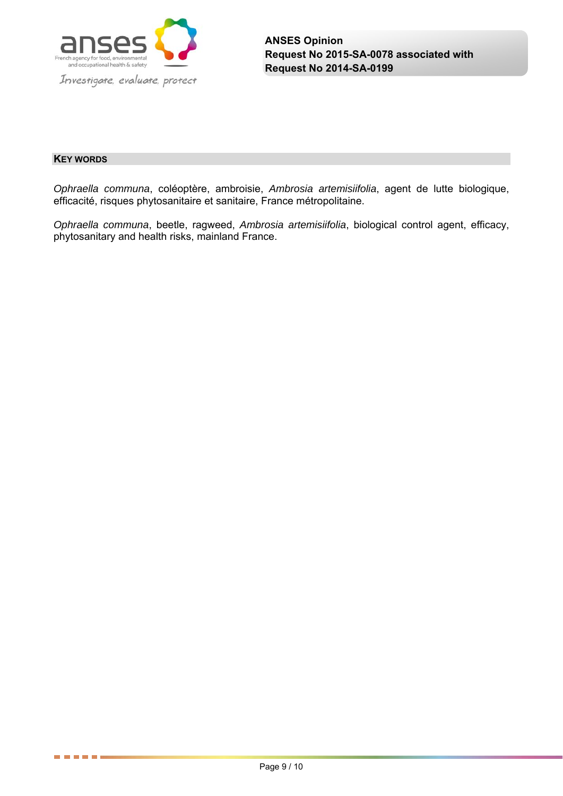

#### **KEY WORDS**

------

*Ophraella communa*, coléoptère, ambroisie, *Ambrosia artemisiifolia*, agent de lutte biologique, efficacité, risques phytosanitaire et sanitaire, France métropolitaine.

*Ophraella communa*, beetle, ragweed, *Ambrosia artemisiifolia*, biological control agent, efficacy, phytosanitary and health risks, mainland France.